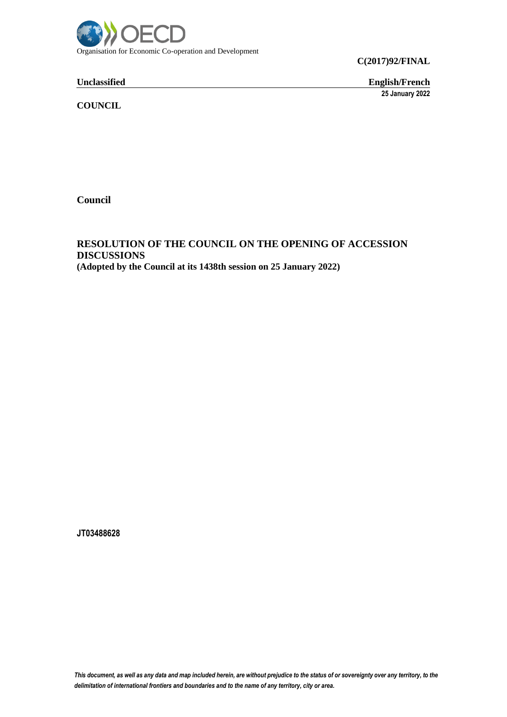

**C(2017)92/FINAL**

**Unclassified English/French**

**25 January 2022**

**COUNCIL**

**Council**

**RESOLUTION OF THE COUNCIL ON THE OPENING OF ACCESSION DISCUSSIONS (Adopted by the Council at its 1438th session on 25 January 2022)**

**JT03488628**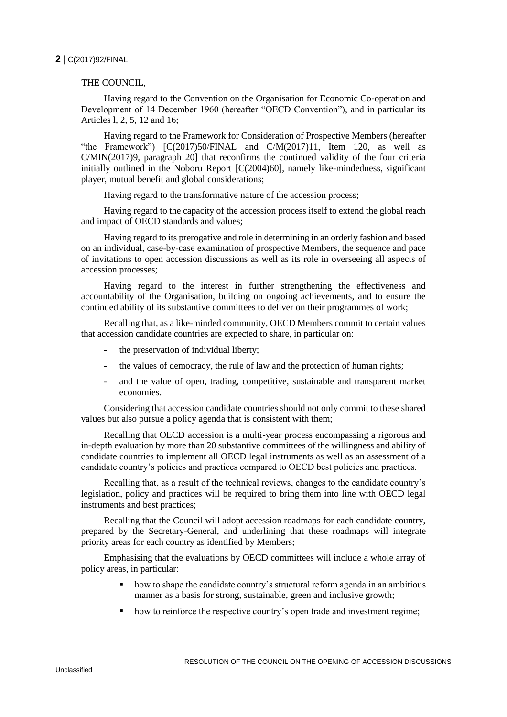## **2** C(2017)92/FINAL

## THE COUNCIL,

Having regard to the Convention on the Organisation for Economic Co-operation and Development of 14 December 1960 (hereafter "OECD Convention"), and in particular its Articles l, 2, 5, 12 and 16;

Having regard to the Framework for Consideration of Prospective Members (hereafter "the Framework") [C(2017)50/FINAL and C/M(2017)11, Item 120, as well as C/MIN(2017)9, paragraph 20] that reconfirms the continued validity of the four criteria initially outlined in the Noboru Report [C(2004)60], namely like-mindedness, significant player, mutual benefit and global considerations;

Having regard to the transformative nature of the accession process;

Having regard to the capacity of the accession process itself to extend the global reach and impact of OECD standards and values;

Having regard to its prerogative and role in determining in an orderly fashion and based on an individual, case-by-case examination of prospective Members, the sequence and pace of invitations to open accession discussions as well as its role in overseeing all aspects of accession processes;

Having regard to the interest in further strengthening the effectiveness and accountability of the Organisation, building on ongoing achievements, and to ensure the continued ability of its substantive committees to deliver on their programmes of work;

Recalling that, as a like-minded community, OECD Members commit to certain values that accession candidate countries are expected to share, in particular on:

- the preservation of individual liberty;
- the values of democracy, the rule of law and the protection of human rights;
- and the value of open, trading, competitive, sustainable and transparent market economies.

Considering that accession candidate countries should not only commit to these shared values but also pursue a policy agenda that is consistent with them;

Recalling that OECD accession is a multi-year process encompassing a rigorous and in-depth evaluation by more than 20 substantive committees of the willingness and ability of candidate countries to implement all OECD legal instruments as well as an assessment of a candidate country's policies and practices compared to OECD best policies and practices.

Recalling that, as a result of the technical reviews, changes to the candidate country's legislation, policy and practices will be required to bring them into line with OECD legal instruments and best practices;

Recalling that the Council will adopt accession roadmaps for each candidate country, prepared by the Secretary-General, and underlining that these roadmaps will integrate priority areas for each country as identified by Members;

Emphasising that the evaluations by OECD committees will include a whole array of policy areas, in particular:

- how to shape the candidate country's structural reform agenda in an ambitious manner as a basis for strong, sustainable, green and inclusive growth;
- how to reinforce the respective country's open trade and investment regime;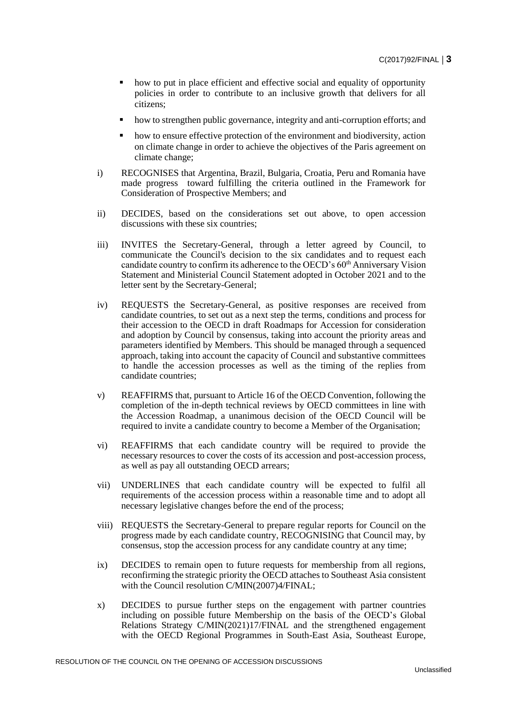- how to put in place efficient and effective social and equality of opportunity policies in order to contribute to an inclusive growth that delivers for all citizens;
- how to strengthen public governance, integrity and anti-corruption efforts; and
- how to ensure effective protection of the environment and biodiversity, action on climate change in order to achieve the objectives of the Paris agreement on climate change;
- i) RECOGNISES that Argentina, Brazil, Bulgaria, Croatia, Peru and Romania have made progress toward fulfilling the criteria outlined in the Framework for Consideration of Prospective Members; and
- ii) DECIDES, based on the considerations set out above, to open accession discussions with these six countries;
- iii) INVITES the Secretary-General, through a letter agreed by Council, to communicate the Council's decision to the six candidates and to request each candidate country to confirm its adherence to the OECD's 60<sup>th</sup> Anniversary Vision Statement and Ministerial Council Statement adopted in October 2021 and to the letter sent by the Secretary-General;
- iv) REQUESTS the Secretary-General, as positive responses are received from candidate countries, to set out as a next step the terms, conditions and process for their accession to the OECD in draft Roadmaps for Accession for consideration and adoption by Council by consensus, taking into account the priority areas and parameters identified by Members. This should be managed through a sequenced approach, taking into account the capacity of Council and substantive committees to handle the accession processes as well as the timing of the replies from candidate countries;
- v) REAFFIRMS that, pursuant to Article 16 of the OECD Convention, following the completion of the in-depth technical reviews by OECD committees in line with the Accession Roadmap, a unanimous decision of the OECD Council will be required to invite a candidate country to become a Member of the Organisation;
- vi) REAFFIRMS that each candidate country will be required to provide the necessary resources to cover the costs of its accession and post-accession process, as well as pay all outstanding OECD arrears;
- vii) UNDERLINES that each candidate country will be expected to fulfil all requirements of the accession process within a reasonable time and to adopt all necessary legislative changes before the end of the process;
- viii) REQUESTS the Secretary-General to prepare regular reports for Council on the progress made by each candidate country, RECOGNISING that Council may, by consensus, stop the accession process for any candidate country at any time;
- ix) DECIDES to remain open to future requests for membership from all regions, reconfirming the strategic priority the OECD attaches to Southeast Asia consistent with the Council resolution C/MIN(2007)4/FINAL;
- x) DECIDES to pursue further steps on the engagement with partner countries including on possible future Membership on the basis of the OECD's Global Relations Strategy C/MIN(2021)17/FINAL and the strengthened engagement with the OECD Regional Programmes in South-East Asia, Southeast Europe,